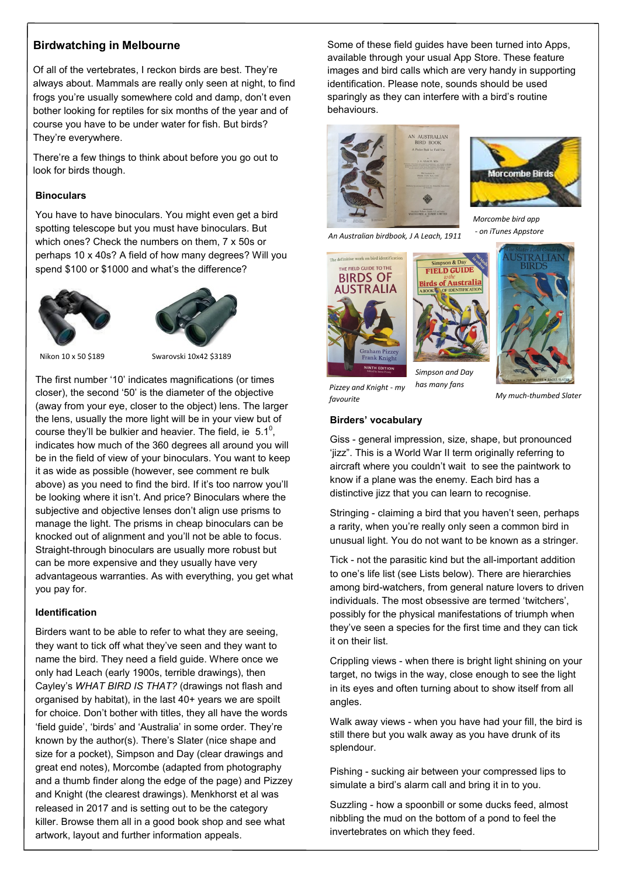# **Birdwatching in Melbourne**

Of all of the vertebrates, I reckon birds are best. They're always about. Mammals are really only seen at night, to find frogs you're usually somewhere cold and damp, don't even bother looking for reptiles for six months of the year and of course you have to be under water for fish. But birds? They're everywhere.

There're a few things to think about before you go out to look for birds though.

# **Binoculars**

You have to have binoculars. You might even get a bird spotting telescope but you must have binoculars. But which ones? Check the numbers on them, 7 x 50s or perhaps 10 x 40s? A field of how many degrees? Will you spend \$100 or \$1000 and what's the difference?





Nikon 10 x 50 \$189 Swarovski 10x42 \$3189

The first number '10' indicates magnifications (or times closer), the second '50' is the diameter of the objective (away from your eye, closer to the object) lens. The larger the lens, usually the more light will be in your view but of course they'll be bulkier and heavier. The field, ie  $5.1^0$ , indicates how much of the 360 degrees all around you will be in the field of view of your binoculars. You want to keep it as wide as possible (however, see comment re bulk above) as you need to find the bird. If it's too narrow you'll be looking where it isn't. And price? Binoculars where the subjective and objective lenses don't align use prisms to manage the light. The prisms in cheap binoculars can be knocked out of alignment and you'll not be able to focus. Straight-through binoculars are usually more robust but can be more expensive and they usually have very advantageous warranties. As with everything, you get what you pay for.

## **Identification**

Birders want to be able to refer to what they are seeing, they want to tick off what they've seen and they want to name the bird. They need a field guide. Where once we only had Leach (early 1900s, terrible drawings), then Cayley's *WHAT BIRD IS THAT?* (drawings not flash and organised by habitat), in the last 40+ years we are spoilt for choice. Don't bother with titles, they all have the words 'field guide', 'birds' and 'Australia' in some order. They're known by the author(s). There's Slater (nice shape and size for a pocket), Simpson and Day (clear drawings and great end notes), Morcombe (adapted from photography and a thumb finder along the edge of the page) and Pizzey and Knight (the clearest drawings). Menkhorst et al was released in 2017 and is setting out to be the category killer. Browse them all in a good book shop and see what artwork, layout and further information appeals.

Some of these field guides have been turned into Apps, available through your usual App Store. These feature images and bird calls which are very handy in supporting identification. Please note, sounds should be used sparingly as they can interfere with a bird's routine behaviours.



*An Australian birdbook, J A Leach, 1911*







**Morcombe Birds** 

*Pizzey and Knight - my favourite has many fans*

*My much-thumbed Slater*

#### **Birders' vocabulary**

Giss - general impression, size, shape, but pronounced 'iizz". This is a World War II term originally referring to aircraft where you couldn't wait to see the paintwork to know if a plane was the enemy. Each bird has a distinctive jizz that you can learn to recognise.

Stringing - claiming a bird that you haven't seen, perhaps a rarity, when you're really only seen a common bird in unusual light. You do not want to be known as a stringer.

Tick - not the parasitic kind but the all-important addition to one's life list (see Lists below). There are hierarchies among bird-watchers, from general nature lovers to driven individuals. The most obsessive are termed 'twitchers', possibly for the physical manifestations of triumph when they've seen a species for the first time and they can tick it on their list.

Crippling views - when there is bright light shining on your target, no twigs in the way, close enough to see the light in its eyes and often turning about to show itself from all angles.

Walk away views - when you have had your fill, the bird is still there but you walk away as you have drunk of its splendour.

Pishing - sucking air between your compressed lips to simulate a bird's alarm call and bring it in to you.

Suzzling - how a spoonbill or some ducks feed, almost nibbling the mud on the bottom of a pond to feel the invertebrates on which they feed.